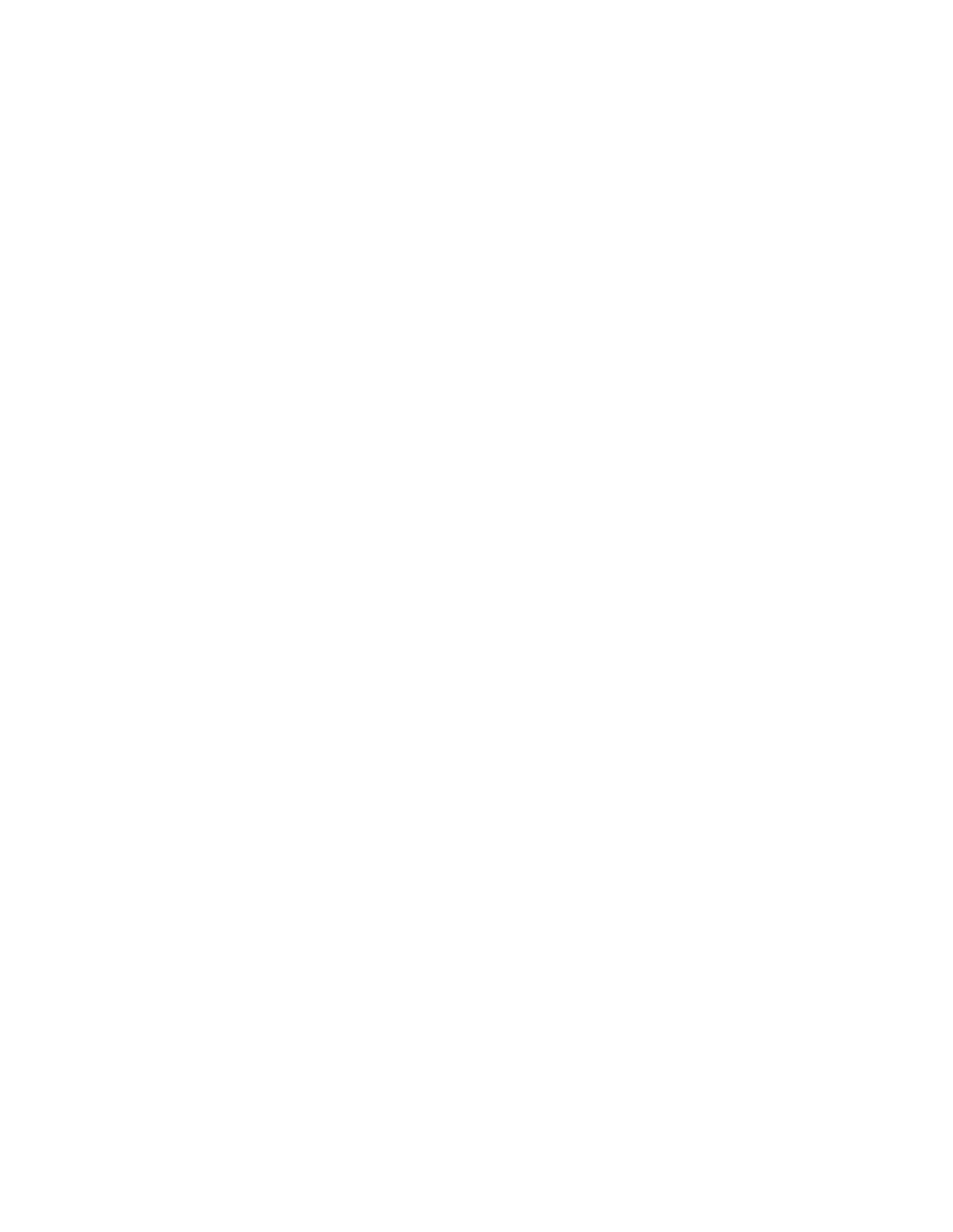### **AGENDA NOTE – HRPDC QUARTERLY COMMISSION MEETING**

## **ITEM #7: SUBMITTED PUBLIC COMMENTS**

There are no recently submitted written public comments. Any new written public comments will be distributed as a handout at the meeting.

#### **ITEM #8: PUBLIC COMMENT PERIOD**

Members of the public are invited to address the Hampton Roads Planning District Commission. Each speaker is limited to three minutes.

#### **ITEM #9: APPROVAL OF CONSENT AGENDA ITEMS**

# **A. MINUTES**

The Minutes of the March 20, 2014 Executive Committee Meeting are attached.

Attachment 9-A

### **RECOMMENDED ACTION:**

The HRPDC staff recommends approval of the minutes.

### **B. TREASURER'S REPORT**

The Balance Sheet and Statement of Revenue and Expenditure for February 2014 activities are attached. This statement reflects the financial status of the HRPDC as a whole.

Attachment 9-B

# **RECOMMENDED ACTION:**

The HRPDC staff recommends the Treasurer's Reports be accepted.

# **C. REGIONAL REVIEWS**

# **1. PNRS**

The HRPDC staff is routinely involved in the review of applications for grants to support projects involving federal or state funding. To ensure that all Commissioners are aware of projects being reviewed, brief summaries of these projects and anticipated review schedules are included in the Agenda. The HRPDC staff will continue to request comments directly from staff in localities that appear to be directly affected by a project. Review and comment by more than one locality is requested when a project may affect the entire region or a sub-regional area. There were no outstanding comments received as of April 4, 2014.

Attachment 9-C1

**RECOMMENDED ACTION:** None required.